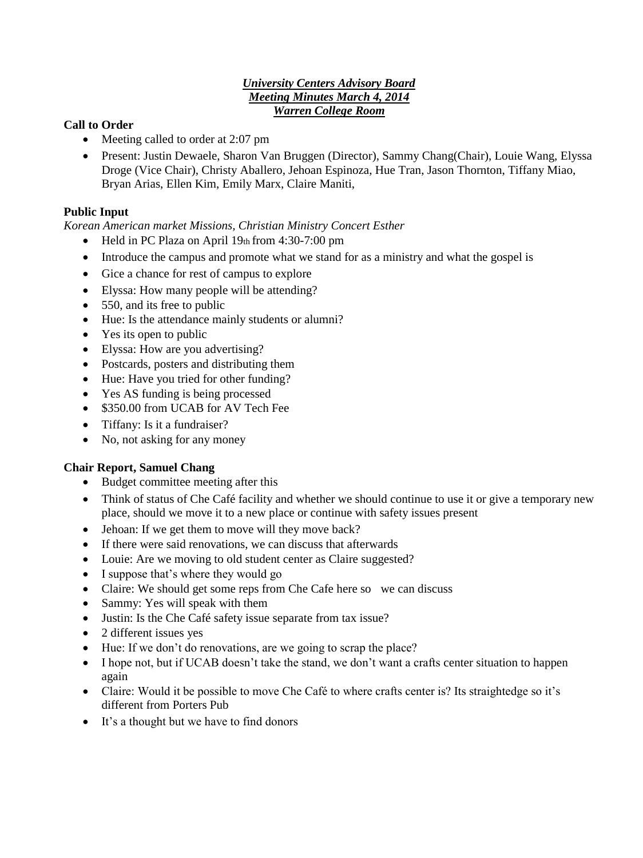### *University Centers Advisory Board Meeting Minutes March 4, 2014 Warren College Room*

### **Call to Order**

- Meeting called to order at 2:07 pm
- Present: Justin Dewaele, Sharon Van Bruggen (Director), Sammy Chang(Chair), Louie Wang, Elyssa Droge (Vice Chair), Christy Aballero, Jehoan Espinoza, Hue Tran, Jason Thornton, Tiffany Miao, Bryan Arias, Ellen Kim, Emily Marx, Claire Maniti,

### **Public Input**

*Korean American market Missions, Christian Ministry Concert Esther* 

- Held in PC Plaza on April 19th from 4:30-7:00 pm
- Introduce the campus and promote what we stand for as a ministry and what the gospel is
- Gice a chance for rest of campus to explore
- Elyssa: How many people will be attending?
- 550, and its free to public
- Hue: Is the attendance mainly students or alumni?
- Yes its open to public
- Elyssa: How are you advertising?
- Postcards, posters and distributing them
- Hue: Have you tried for other funding?
- Yes AS funding is being processed
- \$350.00 from UCAB for AV Tech Fee
- Tiffany: Is it a fundraiser?
- No, not asking for any money

### **Chair Report, Samuel Chang**

- Budget committee meeting after this
- Think of status of Che Café facility and whether we should continue to use it or give a temporary new place, should we move it to a new place or continue with safety issues present
- Jehoan: If we get them to move will they move back?
- If there were said renovations, we can discuss that afterwards
- Louie: Are we moving to old student center as Claire suggested?
- I suppose that's where they would go
- Claire: We should get some reps from Che Cafe here so we can discuss
- Sammy: Yes will speak with them
- Justin: Is the Che Café safety issue separate from tax issue?
- 2 different issues yes
- Hue: If we don't do renovations, are we going to scrap the place?
- I hope not, but if UCAB doesn't take the stand, we don't want a crafts center situation to happen again
- Claire: Would it be possible to move Che Café to where crafts center is? Its straightedge so it's different from Porters Pub
- It's a thought but we have to find donors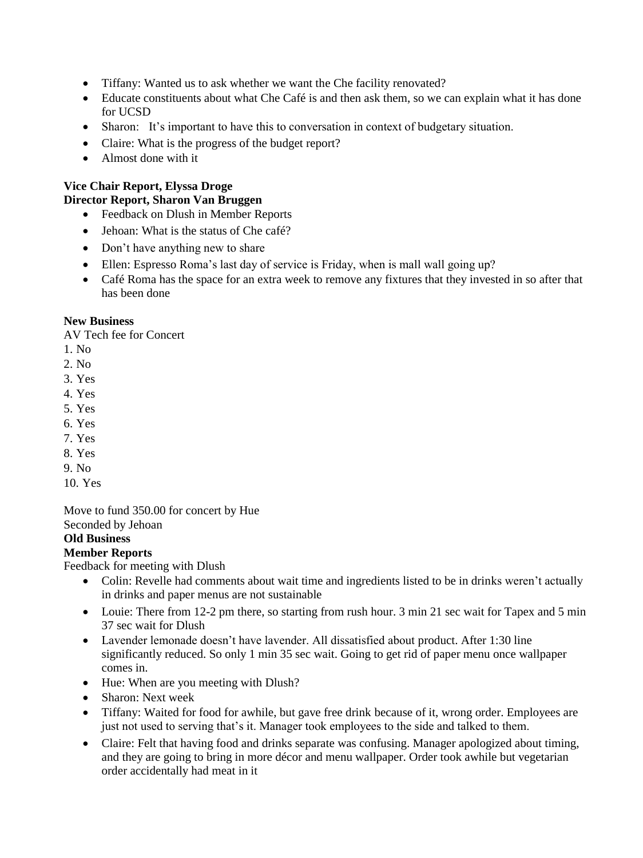- Tiffany: Wanted us to ask whether we want the Che facility renovated?
- Educate constituents about what Che Café is and then ask them, so we can explain what it has done for UCSD
- Sharon: It's important to have this to conversation in context of budgetary situation.
- Claire: What is the progress of the budget report?
- Almost done with it

## **Vice Chair Report, Elyssa Droge Director Report, Sharon Van Bruggen**

- Feedback on Dlush in Member Reports
- Jehoan: What is the status of Che café?
- Don't have anything new to share
- Ellen: Espresso Roma's last day of service is Friday, when is mall wall going up?
- Café Roma has the space for an extra week to remove any fixtures that they invested in so after that has been done

### **New Business**

AV Tech fee for Concert

- 1. No
- 2. No
- 3. Yes
- 4. Yes
- 5. Yes
- 6. Yes
- 7. Yes
- 8. Yes
- 9. No
- 10. Yes

# Move to fund 350.00 for concert by Hue

Seconded by Jehoan

### **Old Business**

**Member Reports**

Feedback for meeting with Dlush

- Colin: Revelle had comments about wait time and ingredients listed to be in drinks weren't actually in drinks and paper menus are not sustainable
- Louie: There from 12-2 pm there, so starting from rush hour. 3 min 21 sec wait for Tapex and 5 min 37 sec wait for Dlush
- Lavender lemonade doesn't have lavender. All dissatisfied about product. After 1:30 line significantly reduced. So only 1 min 35 sec wait. Going to get rid of paper menu once wallpaper comes in.
- Hue: When are you meeting with Dlush?
- Sharon: Next week
- Tiffany: Waited for food for awhile, but gave free drink because of it, wrong order. Employees are just not used to serving that's it. Manager took employees to the side and talked to them.
- Claire: Felt that having food and drinks separate was confusing. Manager apologized about timing, and they are going to bring in more décor and menu wallpaper. Order took awhile but vegetarian order accidentally had meat in it